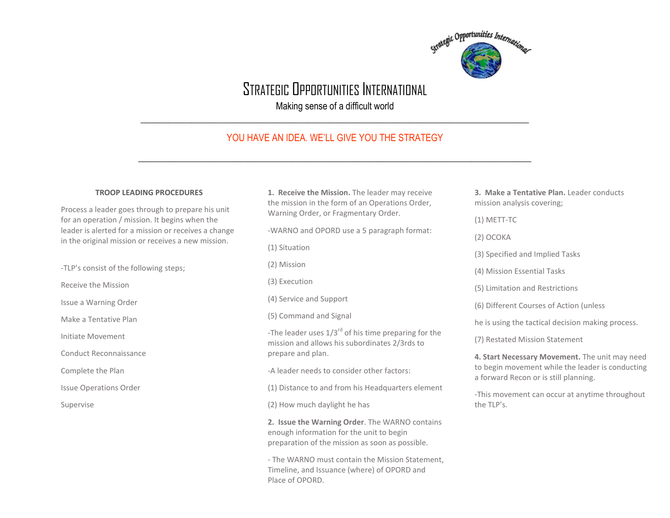

# STRATEGIC OPPORTUNITIES INTERNATIONAL

Making sense of a difficult world \_\_\_\_\_\_\_\_\_\_\_\_\_\_\_\_\_\_\_\_\_\_\_\_\_\_\_\_\_\_\_\_\_\_\_\_\_\_\_\_\_\_\_\_\_\_\_\_\_\_\_\_\_\_\_\_\_\_\_\_\_\_\_\_\_\_\_\_\_\_\_\_\_\_\_\_\_\_\_\_\_\_\_\_

# YOU HAVE AN IDEA. WE'LL GIVE YOU THE STRATEGY

 $\_$  , and the set of the set of the set of the set of the set of the set of the set of the set of the set of the set of the set of the set of the set of the set of the set of the set of the set of the set of the set of th

# **TROOP LEADING PROCEDURES**

Process a leader goes through to prepare his unit for an operation / mission. It begins when the leader is alerted for a mission or receives a change in the original mission or receives a new mission.

-TLP's consist of the following steps;

Receive the Mission

Issue a Warning Order

Make a Tentative Plan

Initiate Movement

Conduct Reconnaissance

Complete the Plan

Issue Operations Order

Supervise

**1. Receive the Mission.** The leader may receive the mission in the form of an Operations Order, Warning Order, or Fragmentary Order.

-WARNO and OPORD use a 5 paragraph format:

(1) Situation

(2) Mission

(3) Execution

(4) Service and Support

(5) Command and Signal

-The leader uses  $1/3^{rd}$  of his time preparing for the mission and allows his subordinates 2/3rds to prepare and plan.

-A leader needs to consider other factors:

(1) Distance to and from his Headquarters element

(2) How much daylight he has

**2. Issue the Warning Order**. The WARNO contains enough information for the unit to begin preparation of the mission as soon as possible.

- The WARNO must contain the Mission Statement, Timeline, and Issuance (where) of OPORD and Place of OPORD.

**3. Make a Tentative Plan.** Leader conducts mission analysis covering;

(1) METT-TC

(2) OCOKA

(3) Specified and Implied Tasks

(4) Mission Essential Tasks

(5) Limitation and Restrictions

(6) Different Courses of Action (unless

he is using the tactical decision making process.

(7) Restated Mission Statement

**4. Start Necessary Movement.** The unit may need to begin movement while the leader is conducting a forward Recon or is still planning.

-This movement can occur at anytime throughout the TLP's.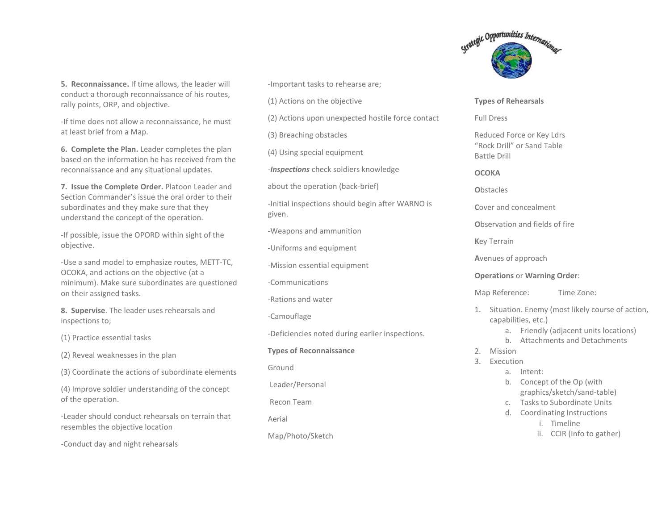**5. Reconnaissance.** If time allows, the leader will conduct a thorough reconnaissance of his routes, rally points, ORP, and objective.

-If time does not allow a reconnaissance, he must at least brief from a Map.

**6. Complete the Plan.** Leader completes the plan based on the information he has received from the reconnaissance and any situational updates.

**7. Issue the Complete Order.** Platoon Leader and Section Commander's issue the oral order to their subordinates and they make sure that they understand the concept of the operation.

-If possible, issue the OPORD within sight of the objective.

-Use a sand model to emphasize routes, METT-TC, OCOKA, and actions on the objective (at a minimum). Make sure subordinates are questioned on their assigned tasks.

**8. Supervise**. The leader uses rehearsals and inspections to;

(1) Practice essential tasks

(2) Reveal weaknesses in the plan

(3) Coordinate the actions of subordinate elements

(4) Improve soldier understanding of the concept of the operation.

-Leader should conduct rehearsals on terrain that resembles the objective location

-Conduct day and night rehearsals

-Important tasks to rehearse are;

(1) Actions on the objective

(2) Actions upon unexpected hostile force contact

(3) Breaching obstacles

(4) Using special equipment

-*Inspections* check soldiers knowledge

about the operation (back-brief)

-Initial inspections should begin after WARNO is given.

-Weapons and ammunition

-Uniforms and equipment

-Mission essential equipment

-Communications

-Rations and water

-Camouflage

-Deficiencies noted during earlier inspections.

**Types of Reconnaissance**

Ground

Leader/Personal

Recon Team

Aerial

Map/Photo/Sketch



### **Types of Rehearsals**

Full Dress

Reduced Force or Key Ldrs "Rock Drill" or Sand Table Battle Drill

# **OCOKA**

**O**bstacles

**C**over and concealment

**O**bservation and fields of fire

**K**ey Terrain

**A**venues of approach

# **Operations** or **Warning Order**:

Map Reference: Time Zone:

- 1. Situation. Enemy (most likely course of action, capabilities, etc.)
	- a. Friendly (adjacent units locations)
	- b. Attachments and Detachments
- 2. Mission
- 3. Execution
	- a. Intent:
	- b. Concept of the Op (with graphics/sketch/sand-table)
	- c. Tasks to Subordinate Units
	- d. Coordinating Instructions
		- i. Timeline
		- ii. CCIR (Info to gather)